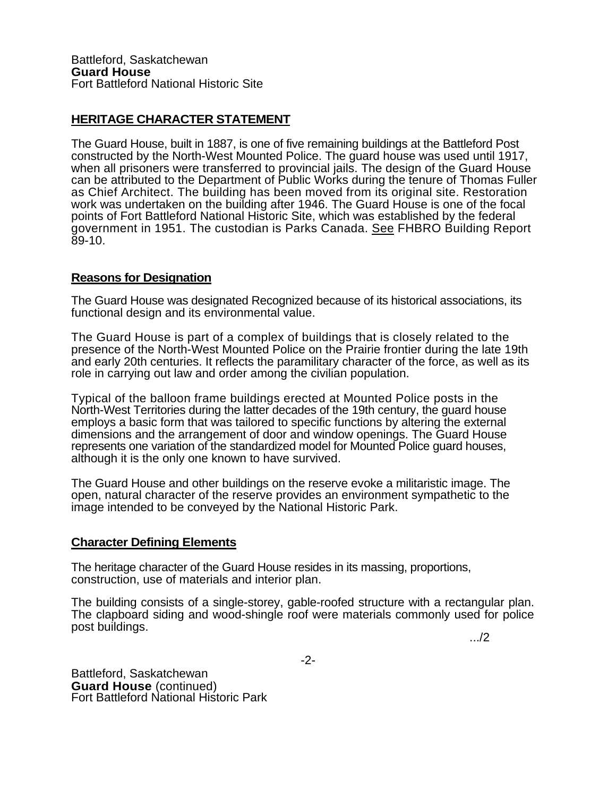## **HERITAGE CHARACTER STATEMENT**

The Guard House, built in 1887, is one of five remaining buildings at the Battleford Post constructed by the North-West Mounted Police. The guard house was used until 1917, when all prisoners were transferred to provincial jails. The design of the Guard House can be attributed to the Department of Public Works during the tenure of Thomas Fuller as Chief Architect. The building has been moved from its original site. Restoration work was undertaken on the building after 1946. The Guard House is one of the focal points of Fort Battleford National Historic Site, which was established by the federal government in 1951. The custodian is Parks Canada. See FHBRO Building Report 89-10.

## **Reasons for Designation**

The Guard House was designated Recognized because of its historical associations, its functional design and its environmental value.

The Guard House is part of a complex of buildings that is closely related to the presence of the North-West Mounted Police on the Prairie frontier during the late 19th and early 20th centuries. It reflects the paramilitary character of the force, as well as its role in carrying out law and order among the civilian population.

Typical of the balloon frame buildings erected at Mounted Police posts in the North-West Territories during the latter decades of the 19th century, the guard house employs a basic form that was tailored to specific functions by altering the external dimensions and the arrangement of door and window openings. The Guard House represents one variation of the standardized model for Mounted Police guard houses, although it is the only one known to have survived.

The Guard House and other buildings on the reserve evoke a militaristic image. The open, natural character of the reserve provides an environment sympathetic to the image intended to be conveyed by the National Historic Park.

## **Character Defining Elements**

The heritage character of the Guard House resides in its massing, proportions, construction, use of materials and interior plan.

The building consists of a single-storey, gable-roofed structure with a rectangular plan. The clapboard siding and wood-shingle roof were materials commonly used for police post buildings. The contract of the contract of the contract of the contract of the contract of the contract of  $\ldots$ /2

Battleford, Saskatchewan<br>**Guard House** (continued) **Fort Battleford National Historic Park**